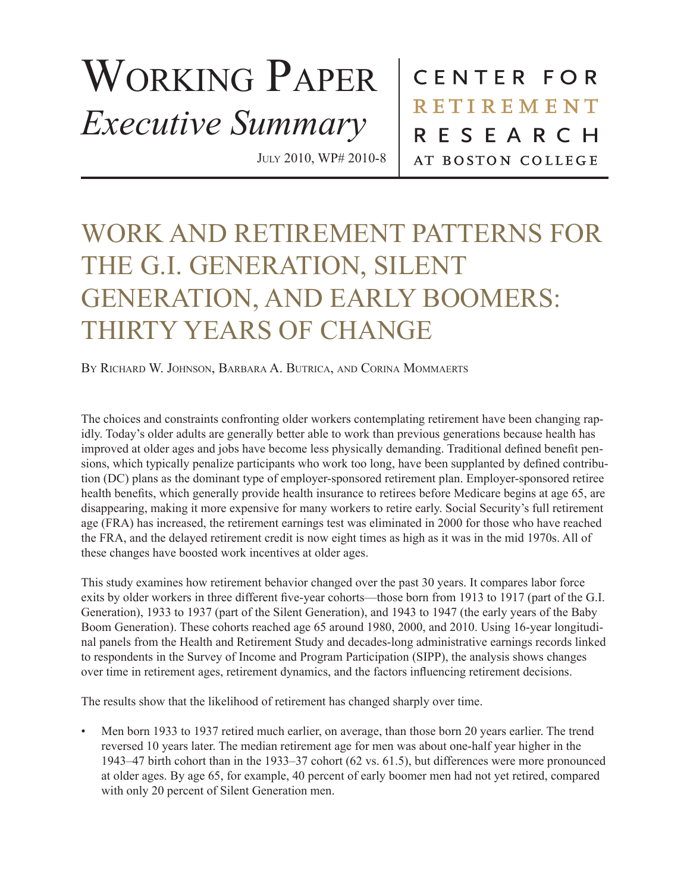## WORKING PAPER *Executive Summary*

July 2010, WP# 2010-8

CENTER FOR **RETIREMENT** RESEARCH AT BOSTON COLLEGE

## WORK AND RETIREMENT PATTERNS FOR THE G.I. GENERATION, SILENT GENERATION, AND EARLY BOOMERS: THIRTY YEARS OF CHANGE

BY RICHARD W. JOHNSON, BARBARA A. BUTRICA, AND CORINA MOMMAERTS

The choices and constraints confronting older workers contemplating retirement have been changing rapidly. Today's older adults are generally better able to work than previous generations because health has improved at older ages and jobs have become less physically demanding. Traditional defined benefit pensions, which typically penalize participants who work too long, have been supplanted by defined contribution (DC) plans as the dominant type of employer-sponsored retirement plan. Employer-sponsored retiree health benefits, which generally provide health insurance to retirees before Medicare begins at age 65, are disappearing, making it more expensive for many workers to retire early. Social Security's full retirement age (FRA) has increased, the retirement earnings test was eliminated in 2000 for those who have reached the FRA, and the delayed retirement credit is now eight times as high as it was in the mid 1970s. All of these changes have boosted work incentives at older ages.

This study examines how retirement behavior changed over the past 30 years. It compares labor force exits by older workers in three different five-year cohorts—those born from 1913 to 1917 (part of the G.I. Generation), 1933 to 1937 (part of the Silent Generation), and 1943 to 1947 (the early years of the Baby Boom Generation). These cohorts reached age 65 around 1980, 2000, and 2010. Using 16-year longitudinal panels from the Health and Retirement Study and decades-long administrative earnings records linked to respondents in the Survey of Income and Program Participation (SIPP), the analysis shows changes over time in retirement ages, retirement dynamics, and the factors influencing retirement decisions.

The results show that the likelihood of retirement has changed sharply over time.

• Men born 1933 to 1937 retired much earlier, on average, than those born 20 years earlier. The trend reversed 10 years later. The median retirement age for men was about one-half year higher in the 1943–47 birth cohort than in the 1933–37 cohort (62 vs. 61.5), but differences were more pronounced at older ages. By age 65, for example, 40 percent of early boomer men had not yet retired, compared with only 20 percent of Silent Generation men.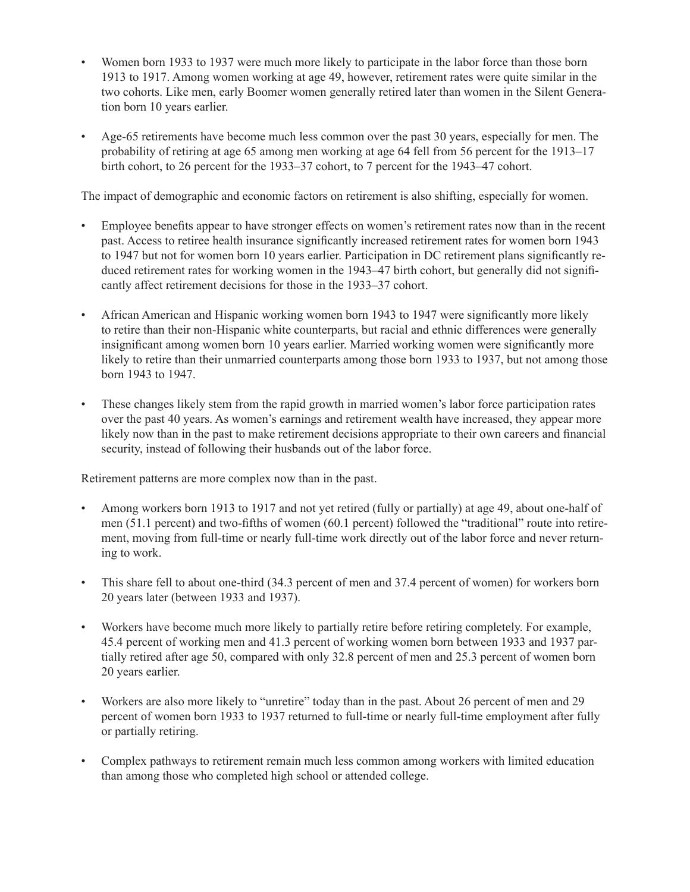- Women born 1933 to 1937 were much more likely to participate in the labor force than those born 1913 to 1917. Among women working at age 49, however, retirement rates were quite similar in the two cohorts. Like men, early Boomer women generally retired later than women in the Silent Generation born 10 years earlier.
- Age-65 retirements have become much less common over the past 30 years, especially for men. The probability of retiring at age 65 among men working at age 64 fell from 56 percent for the 1913–17 birth cohort, to 26 percent for the 1933–37 cohort, to 7 percent for the 1943–47 cohort.

The impact of demographic and economic factors on retirement is also shifting, especially for women.

- Employee benefits appear to have stronger effects on women's retirement rates now than in the recent past. Access to retiree health insurance significantly increased retirement rates for women born 1943 to 1947 but not for women born 10 years earlier. Participation in DC retirement plans significantly reduced retirement rates for working women in the 1943–47 birth cohort, but generally did not significantly affect retirement decisions for those in the 1933–37 cohort.
- African American and Hispanic working women born 1943 to 1947 were significantly more likely to retire than their non-Hispanic white counterparts, but racial and ethnic differences were generally insignificant among women born 10 years earlier. Married working women were significantly more likely to retire than their unmarried counterparts among those born 1933 to 1937, but not among those born 1943 to 1947.
- These changes likely stem from the rapid growth in married women's labor force participation rates over the past 40 years. As women's earnings and retirement wealth have increased, they appear more likely now than in the past to make retirement decisions appropriate to their own careers and financial security, instead of following their husbands out of the labor force.

Retirement patterns are more complex now than in the past.

- Among workers born 1913 to 1917 and not yet retired (fully or partially) at age 49, about one-half of men (51.1 percent) and two-fifths of women (60.1 percent) followed the "traditional" route into retirement, moving from full-time or nearly full-time work directly out of the labor force and never returning to work.
- This share fell to about one-third (34.3 percent of men and 37.4 percent of women) for workers born 20 years later (between 1933 and 1937).
- Workers have become much more likely to partially retire before retiring completely. For example, 45.4 percent of working men and 41.3 percent of working women born between 1933 and 1937 partially retired after age 50, compared with only 32.8 percent of men and 25.3 percent of women born 20 years earlier.
- Workers are also more likely to "unretire" today than in the past. About 26 percent of men and 29 percent of women born 1933 to 1937 returned to full-time or nearly full-time employment after fully or partially retiring.
- Complex pathways to retirement remain much less common among workers with limited education than among those who completed high school or attended college.